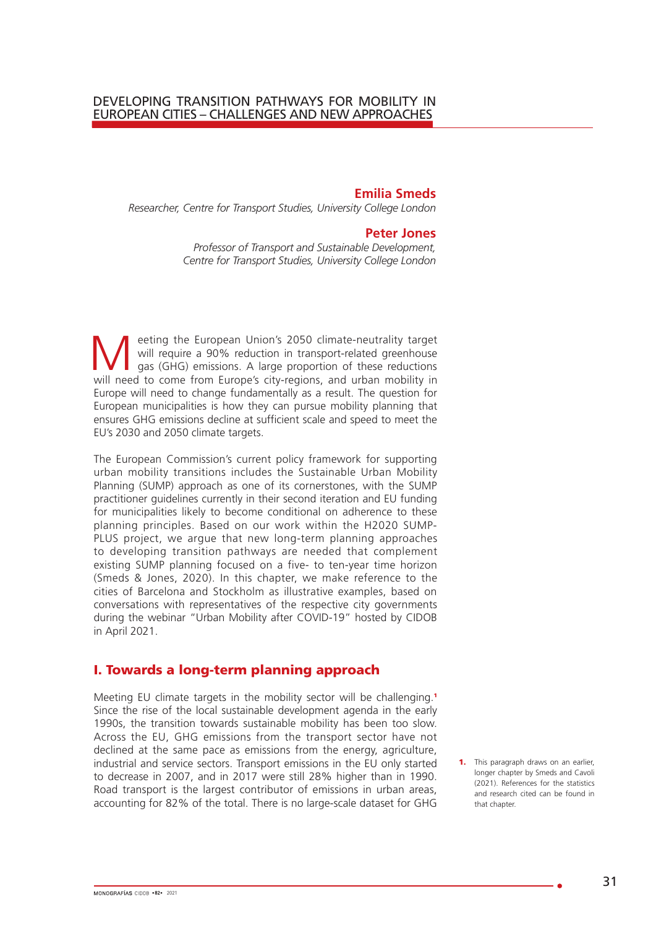#### **Emilia Smeds**

*Researcher, Centre for Transport Studies, University College London*

#### **Peter Jones**

*Professor of Transport and Sustainable Development, Centre for Transport Studies, University College London*

eeting the European Union's 2050 climate-neutrality target<br>
will require a 90% reduction in transport-related greenhouse<br>
gas (GHG) emissions. A large proportion of these reductions<br>
will peod to some from Europe's sity re will require a 90% reduction in transport-related greenhouse will need to come from Europe's city-regions, and urban mobility in Europe will need to change fundamentally as a result. The question for European municipalities is how they can pursue mobility planning that ensures GHG emissions decline at sufficient scale and speed to meet the EU's 2030 and 2050 climate targets.

The European Commission's current policy framework for supporting urban mobility transitions includes the Sustainable Urban Mobility Planning (SUMP) approach as one of its cornerstones, with the SUMP practitioner guidelines currently in their second iteration and EU funding for municipalities likely to become conditional on adherence to these planning principles. Based on our work within the H2020 SUMP-PLUS project, we argue that new long-term planning approaches to developing transition pathways are needed that complement existing SUMP planning focused on a five- to ten-year time horizon (Smeds & Jones, 2020). In this chapter, we make reference to the cities of Barcelona and Stockholm as illustrative examples, based on conversations with representatives of the respective city governments during the webinar "Urban Mobility after COVID-19" hosted by CIDOB in April 2021.

### I. Towards a long-term planning approach

Meeting EU climate targets in the mobility sector will be challenging.<sup>1</sup> Since the rise of the local sustainable development agenda in the early 1990s, the transition towards sustainable mobility has been too slow. Across the EU, GHG emissions from the transport sector have not declined at the same pace as emissions from the energy, agriculture, industrial and service sectors. Transport emissions in the EU only started to decrease in 2007, and in 2017 were still 28% higher than in 1990. Road transport is the largest contributor of emissions in urban areas, accounting for 82% of the total. There is no large-scale dataset for GHG

**1.** This paragraph draws on an earlier, longer chapter by Smeds and Cavoli (2021). References for the statistics and research cited can be found in that chapter.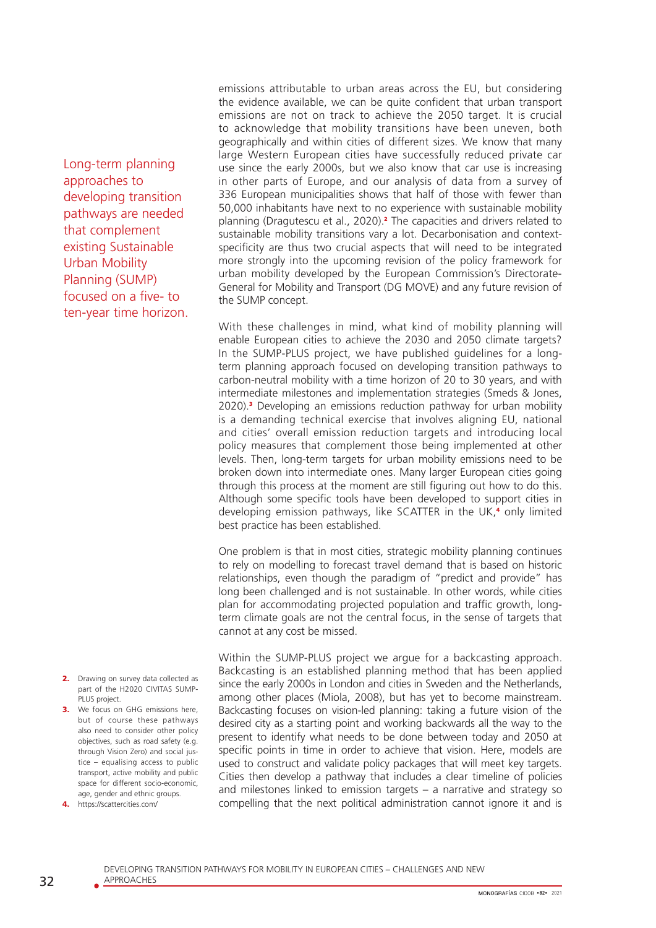Long-term planning approaches to developing transition pathways are needed that complement existing Sustainable Urban Mobility Planning (SUMP) focused on a five- to ten-year time horizon.

- 2. Drawing on survey data collected as part of the H2020 CIVITAS SUMP-PLUS project.
- 3. We focus on GHG emissions here but of course these pathways also need to consider other policy objectives, such as road safety (e.g. through Vision Zero) and social justice – equalising access to public transport, active mobility and public space for different socio-economic, age, gender and ethnic groups.
- 4. https://scattercities.com/

emissions attributable to urban areas across the EU, but considering the evidence available, we can be quite confident that urban transport emissions are not on track to achieve the 2050 target. It is crucial to acknowledge that mobility transitions have been uneven, both geographically and within cities of different sizes. We know that many large Western European cities have successfully reduced private car use since the early 2000s, but we also know that car use is increasing in other parts of Europe, and our analysis of data from a survey of 336 European municipalities shows that half of those with fewer than 50,000 inhabitants have next to no experience with sustainable mobility planning (Dragutescu et al., 2020).<sup>2</sup> The capacities and drivers related to sustainable mobility transitions vary a lot. Decarbonisation and contextspecificity are thus two crucial aspects that will need to be integrated more strongly into the upcoming revision of the policy framework for urban mobility developed by the European Commission's Directorate-General for Mobility and Transport (DG MOVE) and any future revision of the SUMP concept.

With these challenges in mind, what kind of mobility planning will enable European cities to achieve the 2030 and 2050 climate targets? In the SUMP-PLUS project, we have published guidelines for a longterm planning approach focused on developing transition pathways to carbon-neutral mobility with a time horizon of 20 to 30 years, and with intermediate milestones and implementation strategies (Smeds & Jones, 2020).<sup>3</sup> Developing an emissions reduction pathway for urban mobility is a demanding technical exercise that involves aligning EU, national and cities' overall emission reduction targets and introducing local policy measures that complement those being implemented at other levels. Then, long-term targets for urban mobility emissions need to be broken down into intermediate ones. Many larger European cities going through this process at the moment are still figuring out how to do this. Although some specific tools have been developed to support cities in developing emission pathways, like SCATTER in the UK,<sup>4</sup> only limited best practice has been established.

One problem is that in most cities, strategic mobility planning continues to rely on modelling to forecast travel demand that is based on historic relationships, even though the paradigm of "predict and provide" has long been challenged and is not sustainable. In other words, while cities plan for accommodating projected population and traffic growth, longterm climate goals are not the central focus, in the sense of targets that cannot at any cost be missed.

Within the SUMP-PLUS project we argue for a backcasting approach. Backcasting is an established planning method that has been applied since the early 2000s in London and cities in Sweden and the Netherlands, among other places (Miola, 2008), but has yet to become mainstream. Backcasting focuses on vision-led planning: taking a future vision of the desired city as a starting point and working backwards all the way to the present to identify what needs to be done between today and 2050 at specific points in time in order to achieve that vision. Here, models are used to construct and validate policy packages that will meet key targets. Cities then develop a pathway that includes a clear timeline of policies and milestones linked to emission targets – a narrative and strategy so compelling that the next political administration cannot ignore it and is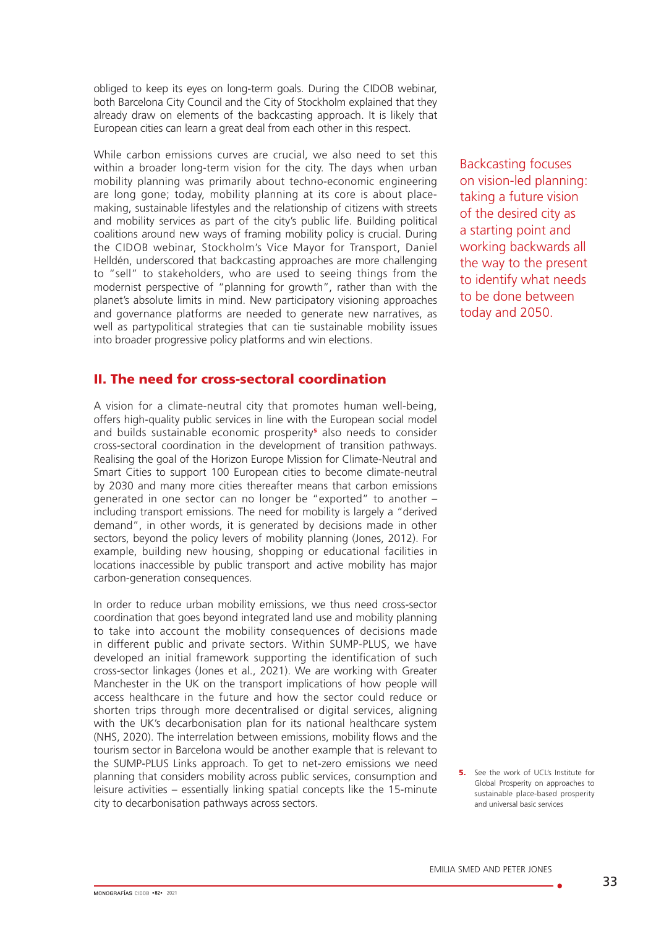obliged to keep its eyes on long-term goals. During the CIDOB webinar, both Barcelona City Council and the City of Stockholm explained that they already draw on elements of the backcasting approach. It is likely that European cities can learn a great deal from each other in this respect.

While carbon emissions curves are crucial, we also need to set this within a broader long-term vision for the city. The days when urban mobility planning was primarily about techno-economic engineering are long gone; today, mobility planning at its core is about placemaking, sustainable lifestyles and the relationship of citizens with streets and mobility services as part of the city's public life. Building political coalitions around new ways of framing mobility policy is crucial. During the CIDOB webinar, Stockholm's Vice Mayor for Transport, Daniel Helldén, underscored that backcasting approaches are more challenging to "sell" to stakeholders, who are used to seeing things from the modernist perspective of "planning for growth", rather than with the planet's absolute limits in mind. New participatory visioning approaches and governance platforms are needed to generate new narratives, as well as partypolitical strategies that can tie sustainable mobility issues into broader progressive policy platforms and win elections.

# II. The need for cross-sectoral coordination

A vision for a climate-neutral city that promotes human well-being, offers high-quality public services in line with the European social model and builds sustainable economic prosperity<sup>s</sup> also needs to consider cross-sectoral coordination in the development of transition pathways. Realising the goal of the Horizon Europe Mission for Climate-Neutral and Smart Cities to support 100 European cities to become climate-neutral by 2030 and many more cities thereafter means that carbon emissions generated in one sector can no longer be "exported" to another – including transport emissions. The need for mobility is largely a "derived demand", in other words, it is generated by decisions made in other sectors, beyond the policy levers of mobility planning (Jones, 2012). For example, building new housing, shopping or educational facilities in locations inaccessible by public transport and active mobility has major carbon-generation consequences.

In order to reduce urban mobility emissions, we thus need cross-sector coordination that goes beyond integrated land use and mobility planning to take into account the mobility consequences of decisions made in different public and private sectors. Within SUMP-PLUS, we have developed an initial framework supporting the identification of such cross-sector linkages (Jones et al., 2021). We are working with Greater Manchester in the UK on the transport implications of how people will access healthcare in the future and how the sector could reduce or shorten trips through more decentralised or digital services, aligning with the UK's decarbonisation plan for its national healthcare system (NHS, 2020). The interrelation between emissions, mobility flows and the tourism sector in Barcelona would be another example that is relevant to the SUMP-PLUS Links approach. To get to net-zero emissions we need planning that considers mobility across public services, consumption and leisure activities – essentially linking spatial concepts like the 15-minute city to decarbonisation pathways across sectors.

Backcasting focuses on vision-led planning: taking a future vision of the desired city as a starting point and working backwards all the way to the present to identify what needs to be done between today and 2050.

**5.** See the work of UCL's Institute for Global Prosperity on approaches to sustainable place-based prosperity and universal basic services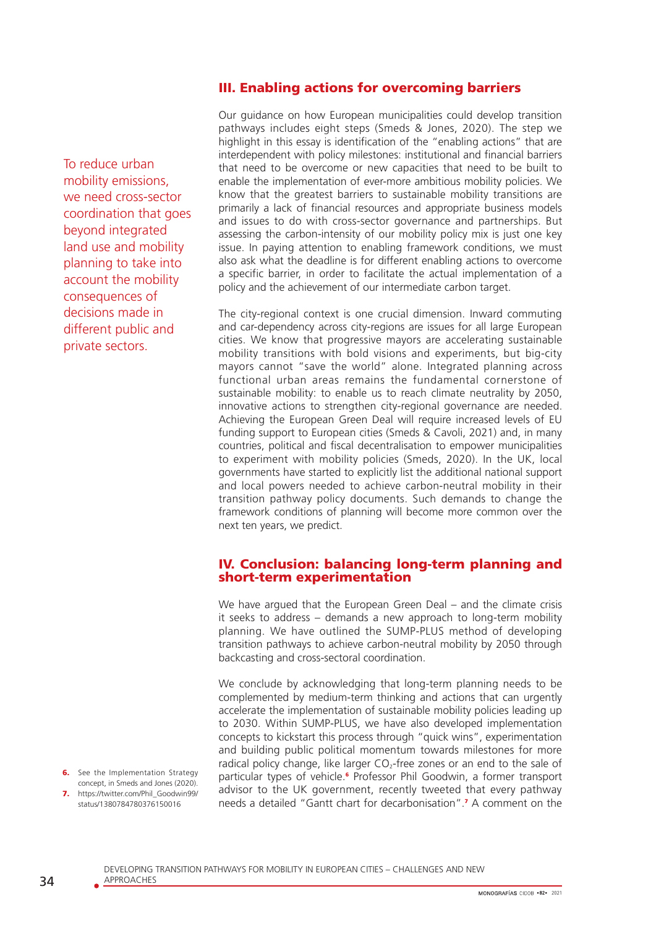# III. Enabling actions for overcoming barriers

To reduce urban mobility emissions, we need cross-sector coordination that goes beyond integrated land use and mobility planning to take into account the mobility consequences of decisions made in different public and private sectors.

Our guidance on how European municipalities could develop transition pathways includes eight steps (Smeds & Jones, 2020). The step we highlight in this essay is identification of the "enabling actions" that are interdependent with policy milestones: institutional and financial barriers that need to be overcome or new capacities that need to be built to enable the implementation of ever-more ambitious mobility policies. We know that the greatest barriers to sustainable mobility transitions are primarily a lack of financial resources and appropriate business models and issues to do with cross-sector governance and partnerships. But assessing the carbon-intensity of our mobility policy mix is just one key issue. In paying attention to enabling framework conditions, we must also ask what the deadline is for different enabling actions to overcome a specific barrier, in order to facilitate the actual implementation of a policy and the achievement of our intermediate carbon target.

The city-regional context is one crucial dimension. Inward commuting and car-dependency across city-regions are issues for all large European cities. We know that progressive mayors are accelerating sustainable mobility transitions with bold visions and experiments, but big-city mayors cannot "save the world" alone. Integrated planning across functional urban areas remains the fundamental cornerstone of sustainable mobility: to enable us to reach climate neutrality by 2050, innovative actions to strengthen city-regional governance are needed. Achieving the European Green Deal will require increased levels of EU funding support to European cities (Smeds & Cavoli, 2021) and, in many countries, political and fiscal decentralisation to empower municipalities to experiment with mobility policies (Smeds, 2020). In the UK, local governments have started to explicitly list the additional national support and local powers needed to achieve carbon-neutral mobility in their transition pathway policy documents. Such demands to change the framework conditions of planning will become more common over the next ten years, we predict.

### IV. Conclusion: balancing long-term planning and short-term experimentation

We have argued that the European Green Deal – and the climate crisis it seeks to address – demands a new approach to long-term mobility planning. We have outlined the SUMP-PLUS method of developing transition pathways to achieve carbon-neutral mobility by 2050 through backcasting and cross-sectoral coordination.

We conclude by acknowledging that long-term planning needs to be complemented by medium-term thinking and actions that can urgently accelerate the implementation of sustainable mobility policies leading up to 2030. Within SUMP-PLUS, we have also developed implementation concepts to kickstart this process through "quick wins", experimentation and building public political momentum towards milestones for more radical policy change, like larger CO<sub>2</sub>-free zones or an end to the sale of particular types of vehicle.<sup>6</sup> Professor Phil Goodwin, a former transport advisor to the UK government, recently tweeted that every pathway needs a detailed "Gantt chart for decarbonisation".<sup>7</sup> A comment on the

**6.** See the Implementation Strategy concept, in Smeds and Jones (2020). 7. https://twitter.com/Phil\_Goodwin99/ status/1380784780376150016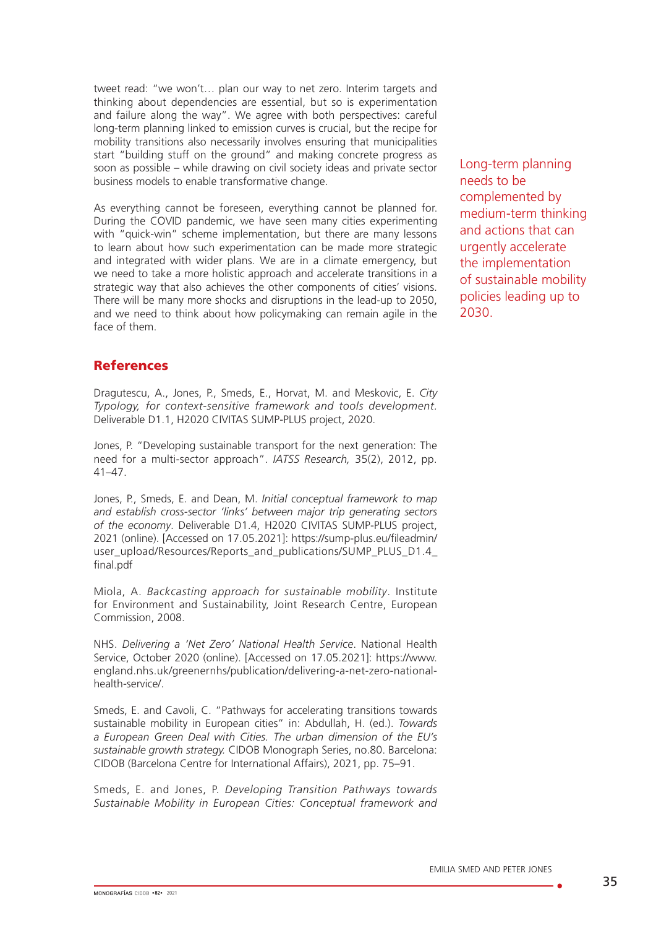tweet read: "we won't… plan our way to net zero. Interim targets and thinking about dependencies are essential, but so is experimentation and failure along the way". We agree with both perspectives: careful long-term planning linked to emission curves is crucial, but the recipe for mobility transitions also necessarily involves ensuring that municipalities start "building stuff on the ground" and making concrete progress as soon as possible – while drawing on civil society ideas and private sector business models to enable transformative change.

As everything cannot be foreseen, everything cannot be planned for. During the COVID pandemic, we have seen many cities experimenting with "quick-win" scheme implementation, but there are many lessons to learn about how such experimentation can be made more strategic and integrated with wider plans. We are in a climate emergency, but we need to take a more holistic approach and accelerate transitions in a strategic way that also achieves the other components of cities' visions. There will be many more shocks and disruptions in the lead-up to 2050, and we need to think about how policymaking can remain agile in the face of them.

# References

Dragutescu, A., Jones, P., Smeds, E., Horvat, M. and Meskovic, E. *City Typology, for context-sensitive framework and tools development.* Deliverable D1.1, H2020 CIVITAS SUMP-PLUS project, 2020.

Jones, P. "Developing sustainable transport for the next generation: The need for a multi-sector approach". *IATSS Research,* 35(2), 2012, pp. 41–47.

Jones, P., Smeds, E. and Dean, M. *Initial conceptual framework to map and establish cross-sector 'links' between major trip generating sectors of the economy*. Deliverable D1.4, H2020 CIVITAS SUMP-PLUS project, 2021 (online). [Accessed on 17.05.2021]: https://sump-plus.eu/fileadmin/ user\_upload/Resources/Reports\_and\_publications/SUMP\_PLUS\_D1.4 final.pdf

Miola, A. *Backcasting approach for sustainable mobility*. Institute for Environment and Sustainability, Joint Research Centre, European Commission, 2008.

NHS. *Delivering a 'Net Zero' National Health Service*. National Health Service, October 2020 (online). [Accessed on 17.05.2021]: https://www. england.nhs.uk/greenernhs/publication/delivering-a-net-zero-nationalhealth-service/.

Smeds, E. and Cavoli, C. "Pathways for accelerating transitions towards sustainable mobility in European cities" in: Abdullah, H. (ed.). *Towards a European Green Deal with Cities. The urban dimension of the EU's sustainable growth strategy.* CIDOB Monograph Series, no.80. Barcelona: CIDOB (Barcelona Centre for International Affairs), 2021, pp. 75–91.

Smeds, E. and Jones, P. *Developing Transition Pathways towards Sustainable Mobility in European Cities: Conceptual framework and*  Long-term planning needs to be complemented by medium-term thinking and actions that can urgently accelerate the implementation of sustainable mobility policies leading up to 2030.